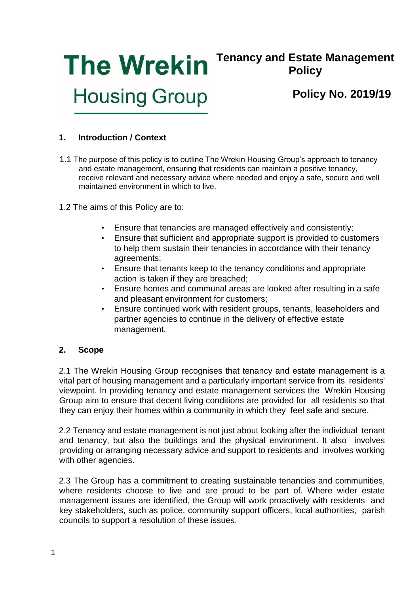

# **Tenancy and Estate Management Policy**

# **Policy No. 2019/19**

# **1. Introduction / Context**

- 1.1 The purpose of this policy is to outline The Wrekin Housing Group's approach to tenancy and estate management, ensuring that residents can maintain a positive tenancy, receive relevant and necessary advice where needed and enjoy a safe, secure and well maintained environment in which to live.
- 1.2 The aims of this Policy are to:
	- Ensure that tenancies are managed effectively and consistently;
	- Ensure that sufficient and appropriate support is provided to customers to help them sustain their tenancies in accordance with their tenancy agreements;
	- Ensure that tenants keep to the tenancy conditions and appropriate action is taken if they are breached;
	- Ensure homes and communal areas are looked after resulting in a safe and pleasant environment for customers;
	- Ensure continued work with resident groups, tenants, leaseholders and partner agencies to continue in the delivery of effective estate management.

# **2. Scope**

2.1 The Wrekin Housing Group recognises that tenancy and estate management is a vital part of housing management and a particularly important service from its residents' viewpoint. In providing tenancy and estate management services the Wrekin Housing Group aim to ensure that decent living conditions are provided for all residents so that they can enjoy their homes within a community in which they feel safe and secure.

2.2 Tenancy and estate management is not just about looking after the individual tenant and tenancy, but also the buildings and the physical environment. It also involves providing or arranging necessary advice and support to residents and involves working with other agencies.

2.3 The Group has a commitment to creating sustainable tenancies and communities, where residents choose to live and are proud to be part of. Where wider estate management issues are identified, the Group will work proactively with residents and key stakeholders, such as police, community support officers, local authorities, parish councils to support a resolution of these issues.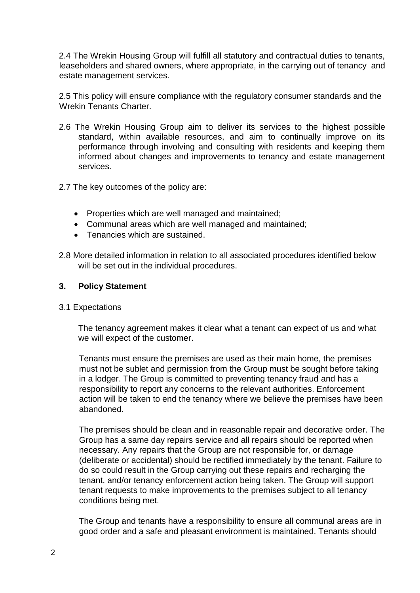2.4 The Wrekin Housing Group will fulfill all statutory and contractual duties to tenants, leaseholders and shared owners, where appropriate, in the carrying out of tenancy and estate management services.

2.5 This policy will ensure compliance with the regulatory consumer standards and the Wrekin Tenants Charter.

- 2.6 The Wrekin Housing Group aim to deliver its services to the highest possible standard, within available resources, and aim to continually improve on its performance through involving and consulting with residents and keeping them informed about changes and improvements to tenancy and estate management services.
- 2.7 The key outcomes of the policy are:
	- Properties which are well managed and maintained;
	- Communal areas which are well managed and maintained;
	- Tenancies which are sustained.
- 2.8 More detailed information in relation to all associated procedures identified below will be set out in the individual procedures.

# **3. Policy Statement**

# 3.1 Expectations

The tenancy agreement makes it clear what a tenant can expect of us and what we will expect of the customer.

Tenants must ensure the premises are used as their main home, the premises must not be sublet and permission from the Group must be sought before taking in a lodger. The Group is committed to preventing tenancy fraud and has a responsibility to report any concerns to the relevant authorities. Enforcement action will be taken to end the tenancy where we believe the premises have been abandoned.

The premises should be clean and in reasonable repair and decorative order. The Group has a same day repairs service and all repairs should be reported when necessary. Any repairs that the Group are not responsible for, or damage (deliberate or accidental) should be rectified immediately by the tenant. Failure to do so could result in the Group carrying out these repairs and recharging the tenant, and/or tenancy enforcement action being taken. The Group will support tenant requests to make improvements to the premises subject to all tenancy conditions being met.

The Group and tenants have a responsibility to ensure all communal areas are in good order and a safe and pleasant environment is maintained. Tenants should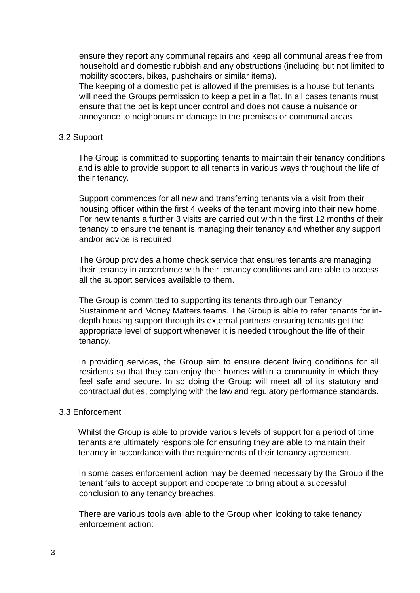ensure they report any communal repairs and keep all communal areas free from household and domestic rubbish and any obstructions (including but not limited to mobility scooters, bikes, pushchairs or similar items).

The keeping of a domestic pet is allowed if the premises is a house but tenants will need the Groups permission to keep a pet in a flat. In all cases tenants must ensure that the pet is kept under control and does not cause a nuisance or annoyance to neighbours or damage to the premises or communal areas.

#### 3.2 Support

The Group is committed to supporting tenants to maintain their tenancy conditions and is able to provide support to all tenants in various ways throughout the life of their tenancy.

Support commences for all new and transferring tenants via a visit from their housing officer within the first 4 weeks of the tenant moving into their new home. For new tenants a further 3 visits are carried out within the first 12 months of their tenancy to ensure the tenant is managing their tenancy and whether any support and/or advice is required.

The Group provides a home check service that ensures tenants are managing their tenancy in accordance with their tenancy conditions and are able to access all the support services available to them.

The Group is committed to supporting its tenants through our Tenancy Sustainment and Money Matters teams. The Group is able to refer tenants for indepth housing support through its external partners ensuring tenants get the appropriate level of support whenever it is needed throughout the life of their tenancy.

In providing services, the Group aim to ensure decent living conditions for all residents so that they can enjoy their homes within a community in which they feel safe and secure. In so doing the Group will meet all of its statutory and contractual duties, complying with the law and regulatory performance standards.

#### 3.3 Enforcement

Whilst the Group is able to provide various levels of support for a period of time tenants are ultimately responsible for ensuring they are able to maintain their tenancy in accordance with the requirements of their tenancy agreement.

In some cases enforcement action may be deemed necessary by the Group if the tenant fails to accept support and cooperate to bring about a successful conclusion to any tenancy breaches.

There are various tools available to the Group when looking to take tenancy enforcement action: